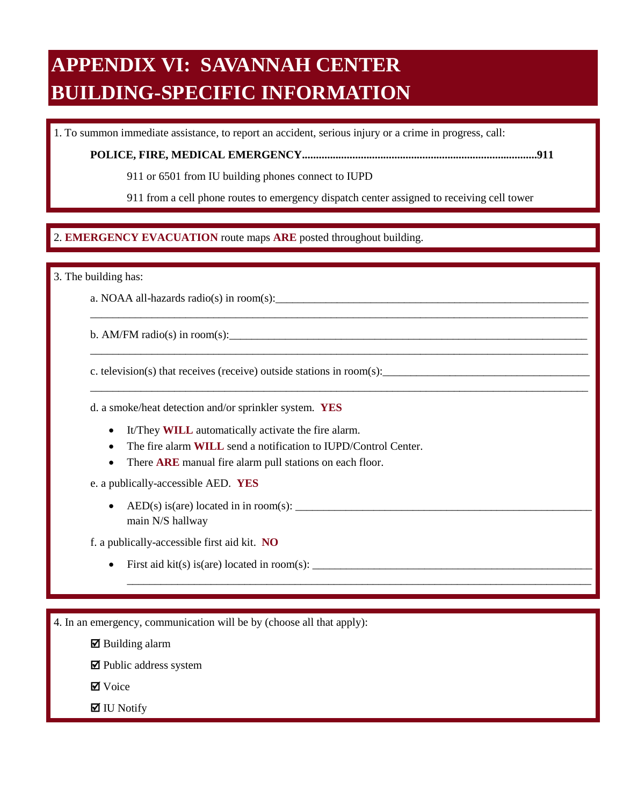## **APPENDIX VI: SAVANNAH CENTER BUILDING-SPECIFIC INFORMATION**

1. To summon immediate assistance, to report an accident, serious injury or a crime in progress, call:

**POLICE, FIRE, MEDICAL EMERGENCY....................................................................................911** 

911 or 6501 from IU building phones connect to IUPD

911 from a cell phone routes to emergency dispatch center assigned to receiving cell tower

\_\_\_\_\_\_\_\_\_\_\_\_\_\_\_\_\_\_\_\_\_\_\_\_\_\_\_\_\_\_\_\_\_\_\_\_\_\_\_\_\_\_\_\_\_\_\_\_\_\_\_\_\_\_\_\_\_\_\_\_\_\_\_\_\_\_\_\_\_\_\_\_\_\_\_\_\_\_\_\_\_\_\_\_\_\_\_\_\_

\_\_\_\_\_\_\_\_\_\_\_\_\_\_\_\_\_\_\_\_\_\_\_\_\_\_\_\_\_\_\_\_\_\_\_\_\_\_\_\_\_\_\_\_\_\_\_\_\_\_\_\_\_\_\_\_\_\_\_\_\_\_\_\_\_\_\_\_\_\_\_\_\_\_\_\_\_\_\_\_\_\_\_\_\_\_\_\_\_

\_\_\_\_\_\_\_\_\_\_\_\_\_\_\_\_\_\_\_\_\_\_\_\_\_\_\_\_\_\_\_\_\_\_\_\_\_\_\_\_\_\_\_\_\_\_\_\_\_\_\_\_\_\_\_\_\_\_\_\_\_\_\_\_\_\_\_\_\_\_\_\_\_\_\_\_\_\_\_\_\_\_\_\_\_\_\_\_\_

\_\_\_\_\_\_\_\_\_\_\_\_\_\_\_\_\_\_\_\_\_\_\_\_\_\_\_\_\_\_\_\_\_\_\_\_\_\_\_\_\_\_\_\_\_\_\_\_\_\_\_\_\_\_\_\_\_\_\_\_\_\_\_\_\_\_\_\_\_\_\_\_\_\_\_\_\_\_\_\_\_\_\_

## $\overline{a}$ 2. EMERGENCY EVACUATION route maps ARE posted throughout building. 2. **EMERGENCY EVACUATION** route maps **ARE** posted throughout building.

3. The building has:

a. NOAA all-hazards radio(s) in room(s):

b. AM/FM radio(s) in room(s):

c. television(s) that receives (receive) outside stations in room(s):

d. a smoke/heat detection and/or sprinkler system. **YES** 

- It/They **WILL** automatically activate the fire alarm.
- The fire alarm **WILL** send a notification to IUPD/Control Center.
- There **ARE** manual fire alarm pull stations on each floor.

e. a publically-accessible AED. **YES** 

• AED(s) is(are) located in in room(s):  $\frac{1}{\sqrt{1-\frac{1}{2}}}\left\{ \frac{1}{2}, \frac{1}{2}, \frac{1}{2}, \frac{1}{2}, \frac{1}{2}, \frac{1}{2}, \frac{1}{2}, \frac{1}{2}, \frac{1}{2}, \frac{1}{2}, \frac{1}{2}, \frac{1}{2}, \frac{1}{2}, \frac{1}{2}, \frac{1}{2}, \frac{1}{2}, \frac{1}{2}, \frac{1}{2}, \frac{1}{2}, \frac{1}{2}, \frac{1}{2}, \frac{1}{2}, \frac{1}{2$ main N/S hallway

f. a publically-accessible first aid kit. **NO** 

• First aid kit(s) is(are) located in room(s):  $\_\_$ 

4. In an emergency, communication will be by (choose all that apply):

 $\boxtimes$  Building alarm

 $\blacksquare$  Public address system

**Ø** Voice

 $\blacksquare$  IU Notify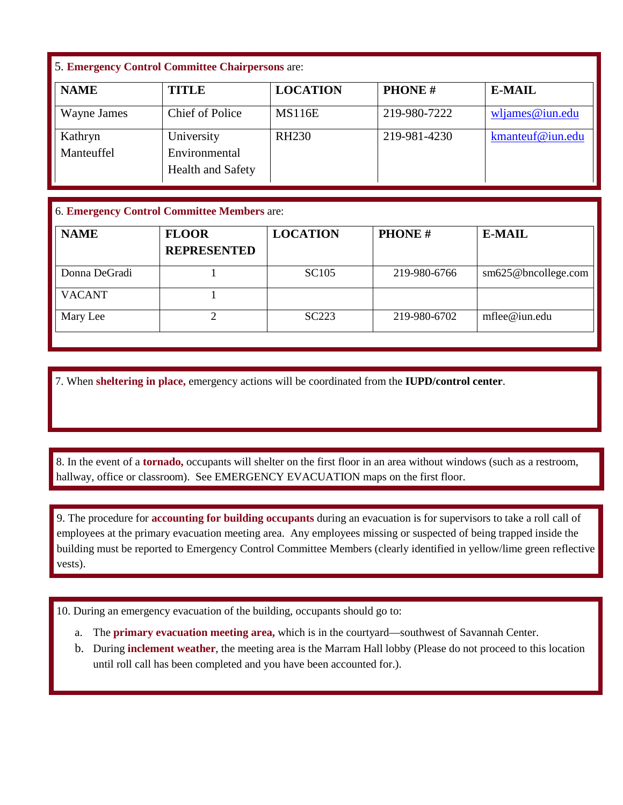## 5. **Emergency Control Committee Chairpersons** are:

| <b>NAME</b>           | TITLE                                                   | <b>LOCATION</b> | <b>PHONE#</b> | <b>E-MAIL</b>    |
|-----------------------|---------------------------------------------------------|-----------------|---------------|------------------|
| Wayne James           | <b>Chief of Police</b>                                  | <b>MS116E</b>   | 219-980-7222  | wljames@iun.edu  |
| Kathryn<br>Manteuffel | University<br>Environmental<br><b>Health and Safety</b> | <b>RH230</b>    | 219-981-4230  | kmanteuf@iun.edu |

## 6. **Emergency Control Committee Members** are:

| <b>NAME</b>   | <b>FLOOR</b><br><b>REPRESENTED</b> | <b>LOCATION</b>   | <b>PHONE#</b> | <b>E-MAIL</b>       |
|---------------|------------------------------------|-------------------|---------------|---------------------|
| Donna DeGradi |                                    | <b>SC105</b>      | 219-980-6766  | sm625@bncollege.com |
| <b>VACANT</b> |                                    |                   |               |                     |
| Mary Lee      |                                    | SC <sub>223</sub> | 219-980-6702  | $m$ flee@iun.edu    |

7. When **sheltering in place,** emergency actions will be coordinated from the **IUPD/control center**.

 hallway, office or classroom). See EMERGENCY EVACUATION maps on the first floor. 8. In the event of a **tornado**, occupants will shelter on the first floor in an area without windows (such as a restroom, hallway, office or classroom). See EMERGENCY EVACUATION maps on the first floor. 8. In the event of a **tornado,** occupants will shelter on the first floor in an area without windows (such as a restroom,

 9. The procedure for **accounting for building occupants** during an evacuation is for supervisors to take a roll call of employees at the primary evacuation meeting area. Any employees missing or suspected of being trapped inside the building must be reported to Emergency Control Committee Members (clearly identified in yellow/lime green reflective vests).

10. During an emergency evacuation of the building, occupants should go to:

- a. The **primary evacuation meeting area,** which is in the courtyard—southwest of Savannah Center.
- b. During **inclement weather**, the meeting area is the Marram Hall lobby (Please do not proceed to this location until roll call has been completed and you have been accounted for.).